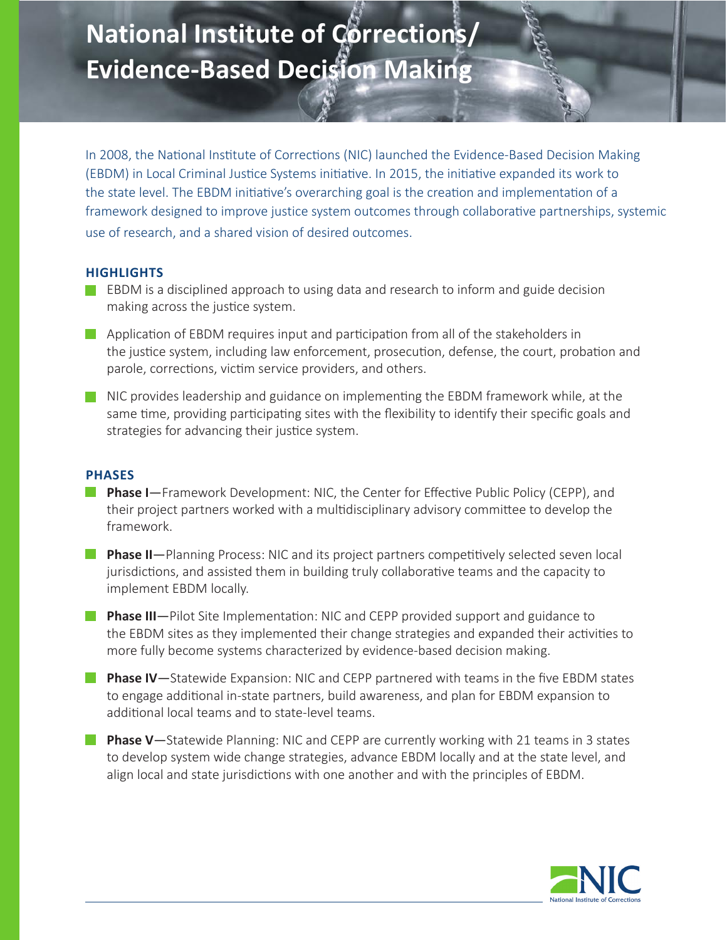# **National Institute of Corrections/ Evidence-Based Decision Making**

In 2008, the National Institute of Corrections (NIC) launched the Evidence-Based Decision Making (EBDM) in Local Criminal Justice Systems initiative. In 2015, the initiative expanded its work to the state level. The EBDM initiative's overarching goal is the creation and implementation of a framework designed to improve justice system outcomes through collaborative partnerships, systemic use of research, and a shared vision of desired outcomes.

I

# **HIGHLIGHTS**

- **EBDM** is a disciplined approach to using data and research to inform and guide decision making across the justice system.
- Application of EBDM requires input and participation from all of the stakeholders in the justice system, including law enforcement, prosecution, defense, the court, probation and parole, corrections, victim service providers, and others.
- NIC provides leadership and guidance on implementing the EBDM framework while, at the same time, providing participating sites with the flexibility to identify their specific goals and strategies for advancing their justice system.

### **PHASES**

- **Phase I**—Framework Development: NIC, the Center for Effective Public Policy (CEPP), and their project partners worked with a multidisciplinary advisory committee to develop the framework.
- **Phase II**—Planning Process: NIC and its project partners competitively selected seven local jurisdictions, and assisted them in building truly collaborative teams and the capacity to implement EBDM locally.
- **Phase III**—Pilot Site Implementation: NIC and CEPP provided support and guidance to the EBDM sites as they implemented their change strategies and expanded their activities to more fully become systems characterized by evidence-based decision making.
- **Phase IV**—Statewide Expansion: NIC and CEPP partnered with teams in the five EBDM states to engage additional in-state partners, build awareness, and plan for EBDM expansion to additional local teams and to state-level teams.
- **Phase V**—Statewide Planning: NIC and CEPP are currently working with 21 teams in 3 states to develop system wide change strategies, advance EBDM locally and at the state level, and align local and state jurisdictions with one another and with the principles of EBDM.